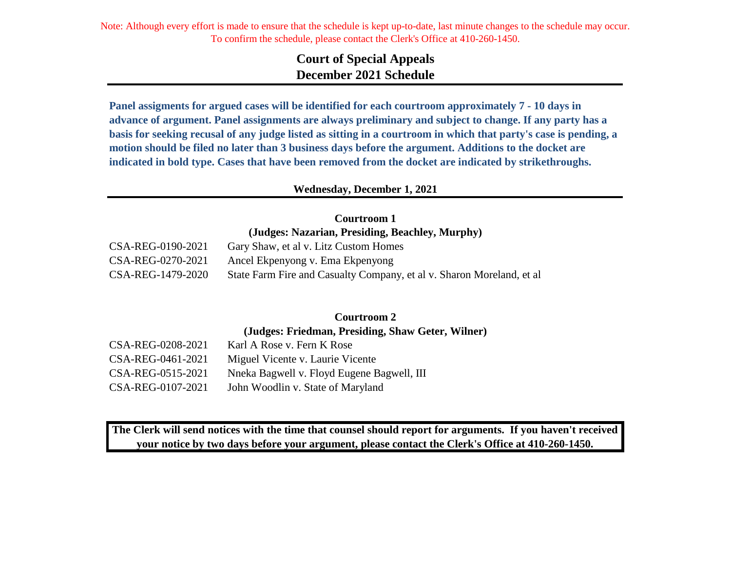# **Court of Special Appeals December 2021 Schedule**

**Panel assigments for argued cases will be identified for each courtroom approximately 7 - 10 days in advance of argument. Panel assignments are always preliminary and subject to change. If any party has a basis for seeking recusal of any judge listed as sitting in a courtroom in which that party's case is pending, a motion should be filed no later than 3 business days before the argument. Additions to the docket are indicated in bold type. Cases that have been removed from the docket are indicated by strikethroughs.**

#### **Wednesday, December 1, 2021**

**Courtroom 1 (Judges: Nazarian, Presiding, Beachley, Murphy)**

| CSA-REG-0190-2021 | Gary Shaw, et al v. Litz Custom Homes                                 |
|-------------------|-----------------------------------------------------------------------|
| CSA-REG-0270-2021 | Ancel Ekpenyong v. Ema Ekpenyong                                      |
| CSA-REG-1479-2020 | State Farm Fire and Casualty Company, et al v. Sharon Moreland, et al |

# **Courtroom 2**

**(Judges: Friedman, Presiding, Shaw Geter, Wilner)**

| CSA-REG-0208-2021 | Karl A Rose v. Fern K Rose                 |
|-------------------|--------------------------------------------|
| CSA-REG-0461-2021 | Miguel Vicente v. Laurie Vicente           |
| CSA-REG-0515-2021 | Nneka Bagwell v. Floyd Eugene Bagwell, III |
| CSA-REG-0107-2021 | John Woodlin v. State of Maryland          |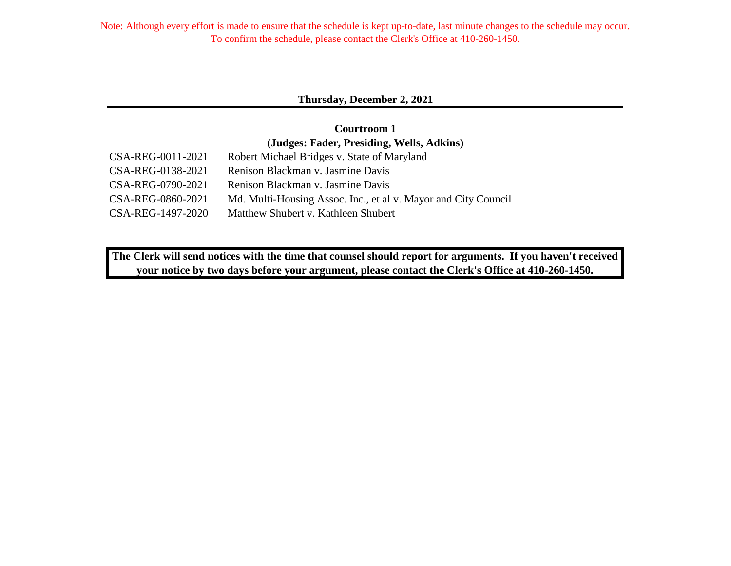## **Thursday, December 2, 2021**

## **(Judges: Fader, Presiding, Wells, Adkins) Courtroom 1**

| CSA-REG-0011-2021 | Robert Michael Bridges v. State of Maryland                    |
|-------------------|----------------------------------------------------------------|
| CSA-REG-0138-2021 | Renison Blackman v. Jasmine Davis                              |
| CSA-REG-0790-2021 | Renison Blackman v. Jasmine Davis                              |
| CSA-REG-0860-2021 | Md. Multi-Housing Assoc. Inc., et al v. Mayor and City Council |
| CSA-REG-1497-2020 | Matthew Shubert v. Kathleen Shubert                            |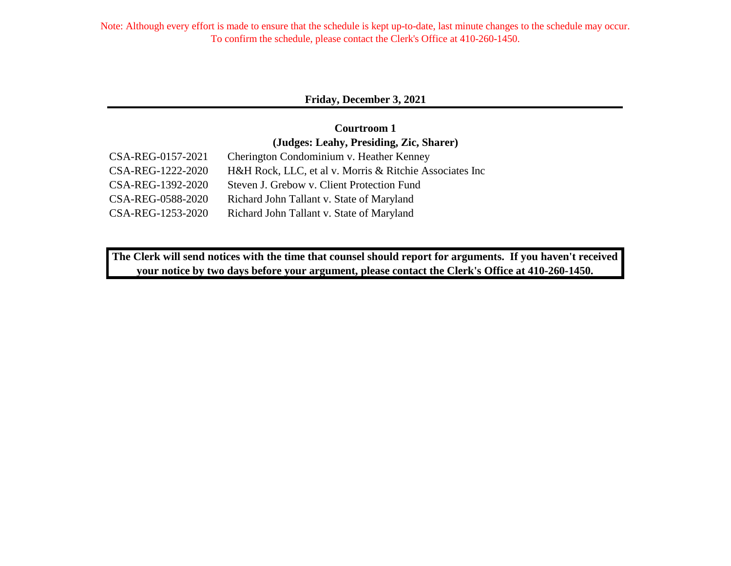## **Friday, December 3, 2021**

## **Courtroom 1 (Judges: Leahy, Presiding, Zic, Sharer)**

| CSA-REG-0157-2021 | Cherington Condominium v. Heather Kenney                |
|-------------------|---------------------------------------------------------|
| CSA-REG-1222-2020 | H&H Rock, LLC, et al v. Morris & Ritchie Associates Inc |
| CSA-REG-1392-2020 | Steven J. Grebow v. Client Protection Fund              |
| CSA-REG-0588-2020 | Richard John Tallant v. State of Maryland               |
| CSA-REG-1253-2020 | Richard John Tallant v. State of Maryland               |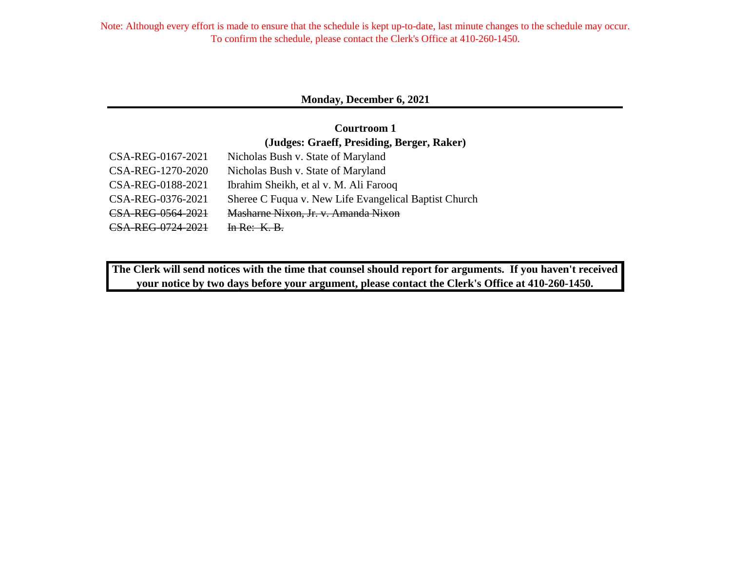## **Monday, December 6, 2021**

## **Courtroom 1 (Judges: Graeff, Presiding, Berger, Raker)**

| CSA-REG-0167-2021 | Nicholas Bush v. State of Maryland                    |
|-------------------|-------------------------------------------------------|
| CSA-REG-1270-2020 | Nicholas Bush v. State of Maryland                    |
| CSA-REG-0188-2021 | Ibrahim Sheikh, et al v. M. Ali Farooq                |
| CSA-REG-0376-2021 | Sheree C Fuqua v. New Life Evangelical Baptist Church |
| CSA-REG-0564-2021 | Masharne Nixon, Jr. v. Amanda Nixon                   |
| CSA-REG-0724-2021 | $ln Re: K. B$                                         |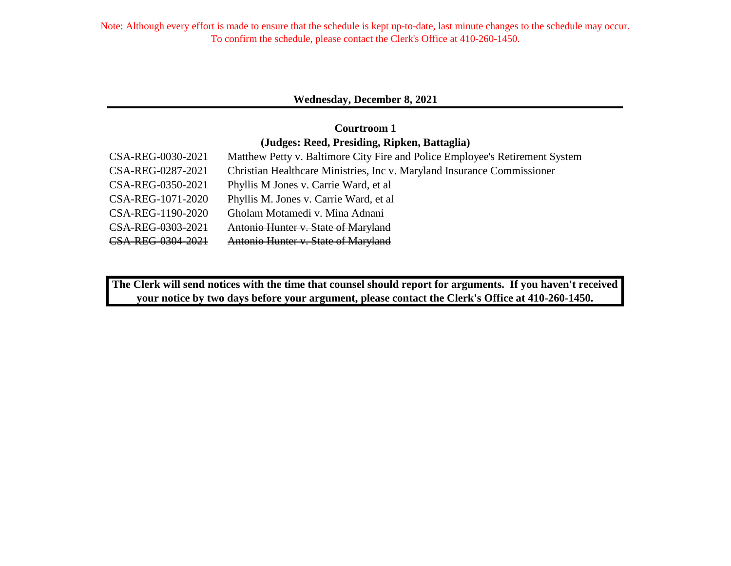## **Wednesday, December 8, 2021**

## **Courtroom 1 (Judges: Reed, Presiding, Ripken, Battaglia)**

| CSA-REG-0030-2021 | Matthew Petty v. Baltimore City Fire and Police Employee's Retirement System |
|-------------------|------------------------------------------------------------------------------|
| CSA-REG-0287-2021 | Christian Healthcare Ministries, Inc v. Maryland Insurance Commissioner      |
| CSA-REG-0350-2021 | Phyllis M Jones v. Carrie Ward, et al                                        |
| CSA-REG-1071-2020 | Phyllis M. Jones v. Carrie Ward, et al.                                      |
| CSA-REG-1190-2020 | Gholam Motamedi v. Mina Adnani                                               |
| CSA-REG-0303-2021 | Antonio Hunter v. State of Maryland                                          |
| CSA-REG-0304-2021 | Antonio Hunter v. State of Maryland                                          |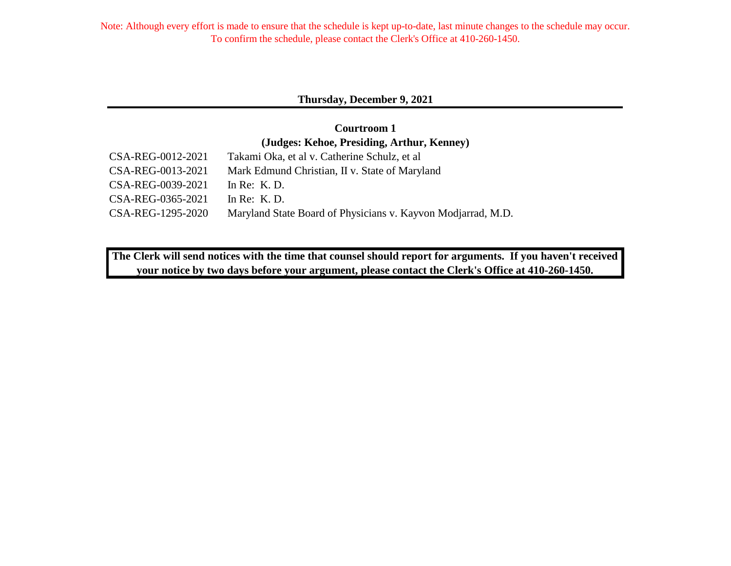## **Thursday, December 9, 2021**

## CSA-REG-0012-2021 Takami Oka, et al v. Catherine Schulz, et al **Courtroom 1 (Judges: Kehoe, Presiding, Arthur, Kenney)**

| $C_{\text{D1}}$ -NLO-0012-2021 | Takann Oka, et al V. Catherine Benuiz, et al                 |
|--------------------------------|--------------------------------------------------------------|
| CSA-REG-0013-2021              | Mark Edmund Christian, II v. State of Maryland               |
| CSA-REG-0039-2021              | In Re: $K$ . D.                                              |
| CSA-REG-0365-2021              | In Re: K.D.                                                  |
| CSA-REG-1295-2020              | Maryland State Board of Physicians v. Kayvon Modjarrad, M.D. |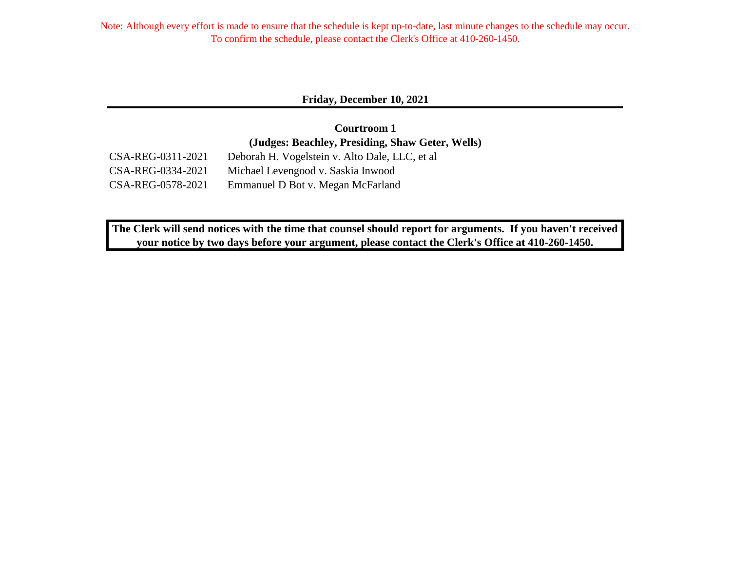#### **Friday, December 10, 2021**

CSA-REG-0311-2021 Deborah H. Vogelstein v. Alto Dale, LLC, et al CSA-REG-0334-2021 Michael Levengood v. Saskia Inwood CSA-REG-0578-2021 Emmanuel D Bot v. Megan McFarland **Courtroom 1 (Judges: Beachley, Presiding, Shaw Geter, Wells)**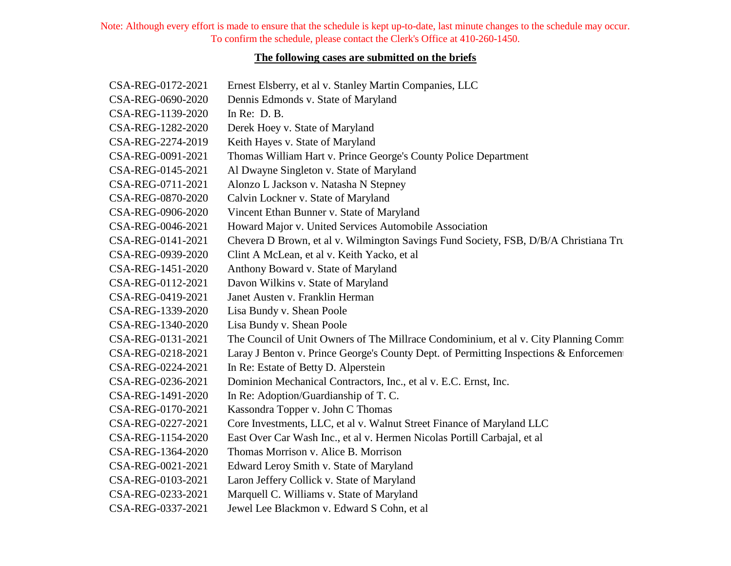## **The following cases are submitted on the briefs**

| CSA-REG-0172-2021 | Ernest Elsberry, et al v. Stanley Martin Companies, LLC                                |
|-------------------|----------------------------------------------------------------------------------------|
| CSA-REG-0690-2020 | Dennis Edmonds v. State of Maryland                                                    |
| CSA-REG-1139-2020 | In Re: $D. B.$                                                                         |
| CSA-REG-1282-2020 | Derek Hoey v. State of Maryland                                                        |
| CSA-REG-2274-2019 | Keith Hayes v. State of Maryland                                                       |
| CSA-REG-0091-2021 | Thomas William Hart v. Prince George's County Police Department                        |
| CSA-REG-0145-2021 | Al Dwayne Singleton v. State of Maryland                                               |
| CSA-REG-0711-2021 | Alonzo L Jackson v. Natasha N Stepney                                                  |
| CSA-REG-0870-2020 | Calvin Lockner v. State of Maryland                                                    |
| CSA-REG-0906-2020 | Vincent Ethan Bunner v. State of Maryland                                              |
| CSA-REG-0046-2021 | Howard Major v. United Services Automobile Association                                 |
| CSA-REG-0141-2021 | Chevera D Brown, et al v. Wilmington Savings Fund Society, FSB, D/B/A Christiana Tru   |
| CSA-REG-0939-2020 | Clint A McLean, et al v. Keith Yacko, et al                                            |
| CSA-REG-1451-2020 | Anthony Boward v. State of Maryland                                                    |
| CSA-REG-0112-2021 | Davon Wilkins v. State of Maryland                                                     |
| CSA-REG-0419-2021 | Janet Austen v. Franklin Herman                                                        |
| CSA-REG-1339-2020 | Lisa Bundy v. Shean Poole                                                              |
| CSA-REG-1340-2020 | Lisa Bundy v. Shean Poole                                                              |
| CSA-REG-0131-2021 | The Council of Unit Owners of The Millrace Condominium, et al v. City Planning Comm    |
| CSA-REG-0218-2021 | Laray J Benton v. Prince George's County Dept. of Permitting Inspections & Enforcement |
| CSA-REG-0224-2021 | In Re: Estate of Betty D. Alperstein                                                   |
| CSA-REG-0236-2021 | Dominion Mechanical Contractors, Inc., et al v. E.C. Ernst, Inc.                       |
| CSA-REG-1491-2020 | In Re: Adoption/Guardianship of T. C.                                                  |
| CSA-REG-0170-2021 | Kassondra Topper v. John C Thomas                                                      |
| CSA-REG-0227-2021 | Core Investments, LLC, et al v. Walnut Street Finance of Maryland LLC                  |
| CSA-REG-1154-2020 | East Over Car Wash Inc., et al v. Hermen Nicolas Portill Carbajal, et al               |
| CSA-REG-1364-2020 | Thomas Morrison v. Alice B. Morrison                                                   |
| CSA-REG-0021-2021 | Edward Leroy Smith v. State of Maryland                                                |
| CSA-REG-0103-2021 | Laron Jeffery Collick v. State of Maryland                                             |
| CSA-REG-0233-2021 | Marquell C. Williams v. State of Maryland                                              |
| CSA-REG-0337-2021 | Jewel Lee Blackmon v. Edward S Cohn, et al                                             |